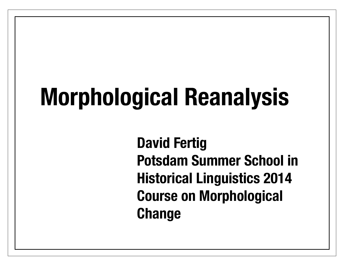# **Morphological Reanalysis**

**David Fertig Potsdam Summer School in Historical Linguistics 2014 Course on Morphological Change**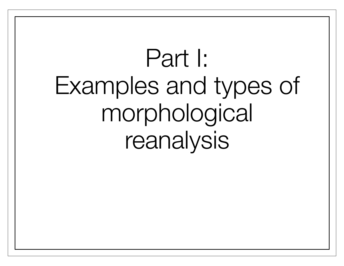# Part I: Examples and types of morphological reanalysis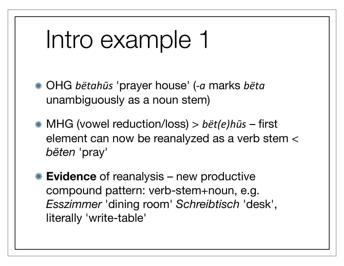# Intro example 1

\* OHG *bëtahūs* 'prayer house' (-a marks *bëta* unambiguously as a noun stem)

- MHG (vowel reduction/loss) > *bët(e)hūs* first element can now be reanalyzed as a verb stem < *bëten* 'pray'
- **Evidence** of reanalysis new productive compound pattern: verb-stem+noun, e.g. *Esszimmer* 'dining room' *Schreibtisch* 'desk', literally 'write-table'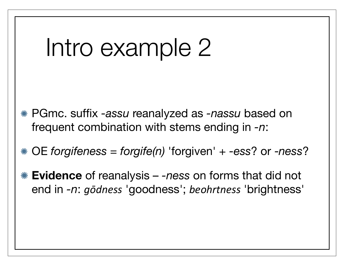### Intro example 2

- PGmc. suffix *-assu* reanalyzed as *-nassu* based on frequent combination with stems ending in *-n*:
- OE *forgifeness* = *forgife(n)* 'forgiven' + *-ess*? or -*ness*?
- **Evidence** of reanalysis *-ness* on forms that did not end in *-n*: *gōdness* 'goodness'; *beohrtness* 'brightness'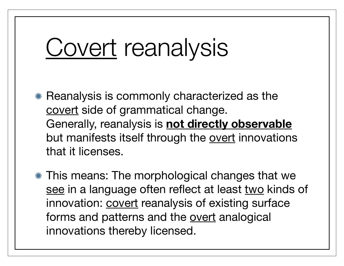### Covert reanalysis

- Reanalysis is commonly characterized as the covert side of grammatical change. Generally, reanalysis is **not directly observable** but manifests itself through the overt innovations that it licenses.
- This means: The morphological changes that we see in a language often reflect at least two kinds of innovation: **covert** reanalysis of existing surface forms and patterns and the overt analogical innovations thereby licensed.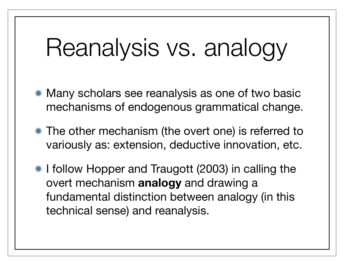# Reanalysis vs. analogy

- Many scholars see reanalysis as one of two basic mechanisms of endogenous grammatical change.
- The other mechanism (the overt one) is referred to variously as: extension, deductive innovation, etc.
- **If ollow Hopper and Traugott (2003) in calling the** overt mechanism **analogy** and drawing a fundamental distinction between analogy (in this technical sense) and reanalysis.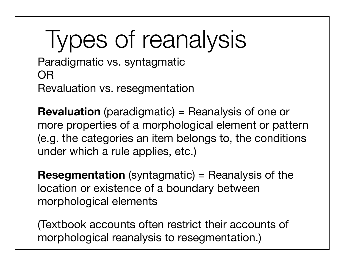# Types of reanalysis

Paradigmatic vs. syntagmatic OR Revaluation vs. resegmentation

**Revaluation** (paradigmatic) = Reanalysis of one or more properties of a morphological element or pattern (e.g. the categories an item belongs to, the conditions under which a rule applies, etc.)

**Resegmentation** (syntagmatic) = Reanalysis of the location or existence of a boundary between morphological elements

(Textbook accounts often restrict their accounts of morphological reanalysis to resegmentation.)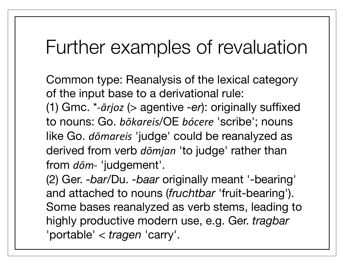#### Further examples of revaluation

Common type: Reanalysis of the lexical category of the input base to a derivational rule: (1) Gmc. \**1ārjoz* (> agentive *-er*): originally suffixed to nouns: Go. *bōkareis*/OE *bócere* 'scribe'; nouns like Go. *dōmareis* 'judge' could be reanalyzed as derived from verb *dōmjan* 'to judge' rather than from  $d\bar{o}m$ - 'judgement'.

(2) Ger. *-bar*/Du. *-baar* originally meant '-bearing' and attached to nouns (*fruchtbar* 'fruit-bearing'). Some bases reanalyzed as verb stems, leading to highly productive modern use, e.g. Ger. *tragbar* 'portable' < *tragen* 'carry'.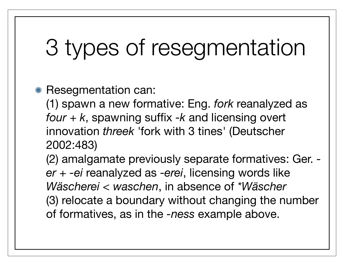### 3 types of resegmentation

#### \* Resegmentation can:

(1) spawn a new formative: Eng. *fork* reanalyzed as *four + k*, spawning suffix *-k* and licensing overt innovation *threek* 'fork with 3 tines' (Deutscher 2002:483)

(2) amalgamate previously separate formatives: Ger.  *er* + *-ei* reanalyzed as *-erei*, licensing words like *Wäscherei < waschen*, in absence of *\*Wäscher* (3) relocate a boundary without changing the number of formatives, as in the *-ness* example above.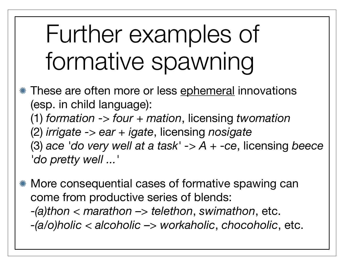# Further examples of formative spawning

**K** These are often more or less ephemeral innovations (esp. in child language): (1) *formation* -> *four + mation*, licensing *twomation* (2) *irrigate -> ear + igate*, licensing *nosigate* (3) *ace 'do very well at a task' -> A + -ce*, licensing *beece 'do pretty well ...'*

More consequential cases of formative spawing can come from productive series of blends: -*(a)thon* < *marathon* –> *telethon*, *swimathon*, etc.

*-(a/o)holic* < *alcoholic* –> *workaholic*, *chocoholic*, etc.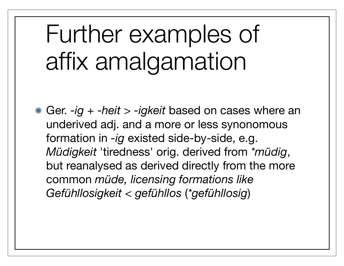# Further examples of affix amalgamation

Ger. *-ig* + *-heit* > *-igkeit* based on cases where an underived adj. and a more or less synonomous formation in *-ig* existed side-by-side, e.g. *Müdigkeit* 'tiredness' orig. derived from *\*müdig*, but reanalysed as derived directly from the more common *müde, licensing formations like Gefühllosigkeit < gefühllos* (*\*gefühllosig*)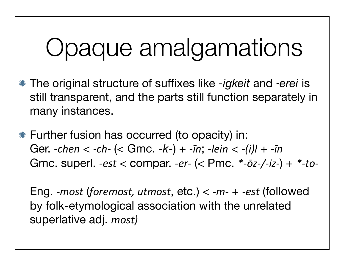# Opaque amalgamations

- The original structure of suffixes like *-igkeit* and ‑*erei* is still transparent, and the parts still function separately in many instances.
- Further fusion has occurred (to opacity) in: Ger. *-chen* < *-ch-* (< Gmc. *-k-*) + *-īn*; *-lein* < *-(i)l* + *-īn* Gmc. superl. *-est* < compar. *-er-* (< Pmc. \*- $\bar{o}z$ -/-iz-) + \*-to-

Eng. *-most* (*foremost, utmost*, etc.) <  $-m$ - + *-est* (followed by folk-etymological association with the unrelated superlative adj. *most)*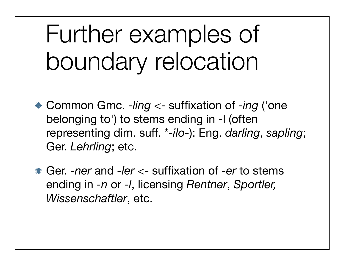# Further examples of boundary relocation

- Common Gmc. *-ling* <- suffixation of *-ing* ('one belonging to') to stems ending in -l (often representing dim. suff. \**-ilo-*): Eng. *darling*, *sapling*; Ger. *Lehrling*; etc.
- Ger. *-ner* and *-ler* <- suffixation of *-er* to stems ending in *-n* or *-l*, licensing *Rentner*, *Sportler, Wissenschaftler*, etc.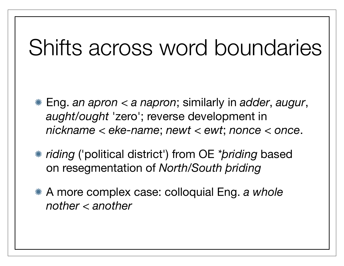#### Shifts across word boundaries

- Eng. *an apron* < *a napron*; similarly in *adder*, *augur*, *aught/ought* 'zero'; reverse development in *nickname* < *eke-name*; *newt* < *ewt*; *nonce* < *once*.
- *riding* ('political district') from OE *\*þriding* based on resegmentation of *North/South þriding*
- A more complex case: colloquial Eng. *a whole nother* < *another*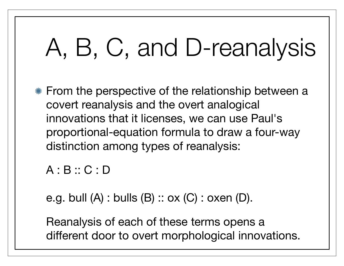# A, B, C, and D-reanalysis

From the perspective of the relationship between a covert reanalysis and the overt analogical innovations that it licenses, we can use Paul's proportional-equation formula to draw a four-way distinction among types of reanalysis:

```
A : B :: C : D
```
e.g. bull  $(A)$ : bulls  $(B)$ : ox  $(C)$ : oxen  $(D)$ .

Reanalysis of each of these terms opens a different door to overt morphological innovations.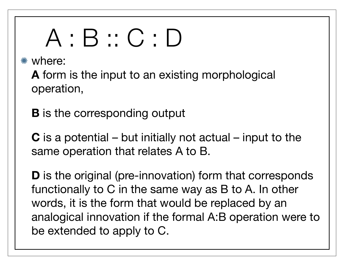# A : B :: C : D

where:

**A** form is the input to an existing morphological operation,

**B** is the corresponding output

**C** is a potential – but initially not actual – input to the same operation that relates A to B.

**D** is the original (pre-innovation) form that corresponds functionally to C in the same way as B to A. In other words, it is the form that would be replaced by an analogical innovation if the formal A:B operation were to be extended to apply to C.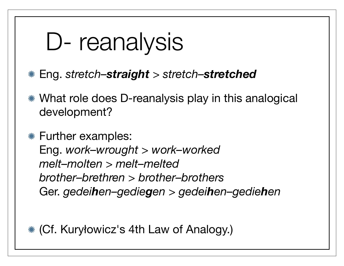# D- reanalysis

- Eng. *stretch–straight* > *stretch–stretched*
- What role does D-reanalysis play in this analogical development?

Further examples: Eng. *work–wrought > work–worked melt–molten > melt–melted brother–brethren > brother–brothers* Ger. *gedeihen–gediegen* > *gedeihen–gediehen*

(Cf. Kuryłowicz's 4th Law of Analogy.)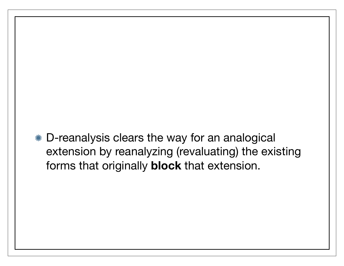D-reanalysis clears the way for an analogical extension by reanalyzing (revaluating) the existing forms that originally **block** that extension.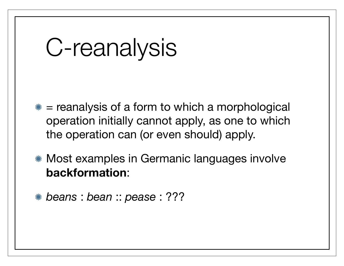# C-reanalysis

- $*$  = reanalysis of a form to which a morphological operation initially cannot apply, as one to which the operation can (or even should) apply.
- Most examples in Germanic languages involve **backformation**:
- *beans* : *bean* :: *pease* : ???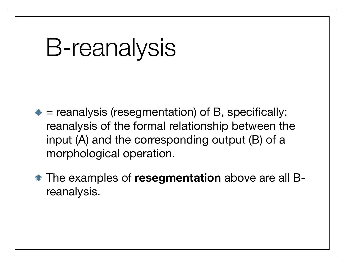### B-reanalysis

- $*$  = reanalysis (resegmentation) of B, specifically: reanalysis of the formal relationship between the input (A) and the corresponding output (B) of a morphological operation.
- The examples of **resegmentation** above are all Breanalysis.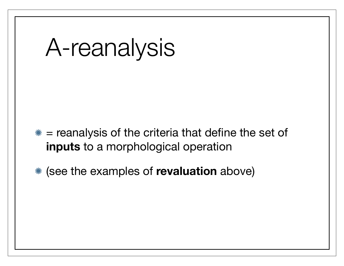### A-reanalysis

- $*$  = reanalysis of the criteria that define the set of **inputs** to a morphological operation
- (see the examples of **revaluation** above)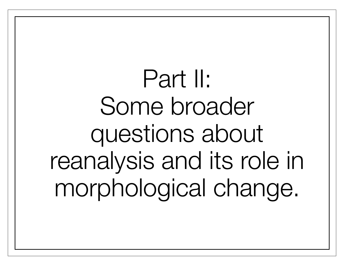Part II: Some broader questions about reanalysis and its role in morphological change.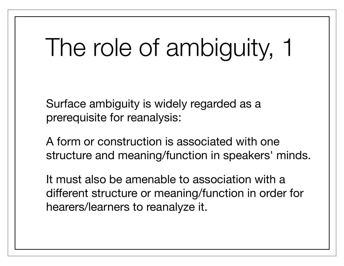# The role of ambiguity, 1

Surface ambiguity is widely regarded as a prerequisite for reanalysis:

A form or construction is associated with one structure and meaning/function in speakers' minds.

It must also be amenable to association with a different structure or meaning/function in order for hearers/learners to reanalyze it.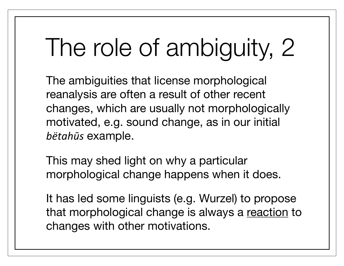# The role of ambiguity, 2

The ambiguities that license morphological reanalysis are often a result of other recent changes, which are usually not morphologically motivated, e.g. sound change, as in our initial *bëtahūs* example.

This may shed light on why a particular morphological change happens when it does.

It has led some linguists (e.g. Wurzel) to propose that morphological change is always a reaction to changes with other motivations.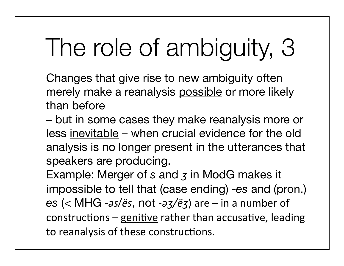# The role of ambiguity, 3

Changes that give rise to new ambiguity often merely make a reanalysis possible or more likely than before

– but in some cases they make reanalysis more or less inevitable – when crucial evidence for the old analysis is no longer present in the utterances that speakers are producing.

Example: Merger of *s* and *ʒ* in ModG makes it impossible to tell that (case ending) -*es* and (pron.)  $es$  (< MHG *-as/ës*, not *-az/ëz*) are – in a number of constructions – genitive rather than accusative, leading to reanalysis of these constructions.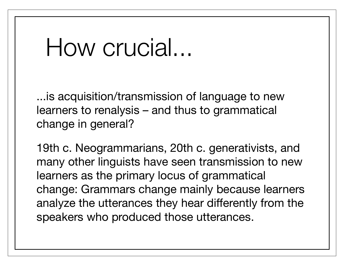### How crucial...

...is acquisition/transmission of language to new learners to renalysis – and thus to grammatical change in general?

19th c. Neogrammarians, 20th c. generativists, and many other linguists have seen transmission to new learners as the primary locus of grammatical change: Grammars change mainly because learners analyze the utterances they hear differently from the speakers who produced those utterances.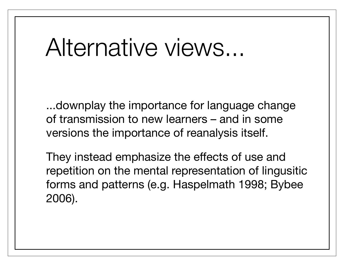### Alternative views...

...downplay the importance for language change of transmission to new learners – and in some versions the importance of reanalysis itself.

They instead emphasize the effects of use and repetition on the mental representation of lingusitic forms and patterns (e.g. Haspelmath 1998; Bybee 2006).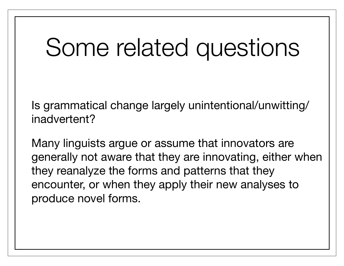# Some related questions

Is grammatical change largely unintentional/unwitting/ inadvertent?

Many linguists argue or assume that innovators are generally not aware that they are innovating, either when they reanalyze the forms and patterns that they encounter, or when they apply their new analyses to produce novel forms.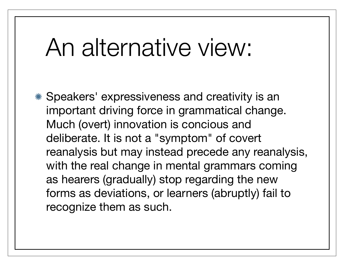### An alternative view:

Speakers' expressiveness and creativity is an important driving force in grammatical change. Much (overt) innovation is concious and deliberate. It is not a "symptom" of covert reanalysis but may instead precede any reanalysis, with the real change in mental grammars coming as hearers (gradually) stop regarding the new forms as deviations, or learners (abruptly) fail to recognize them as such.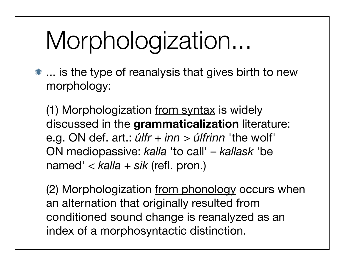# Morphologization...

**\*\*** ... is the type of reanalysis that gives birth to new morphology:

(1) Morphologization from syntax is widely discussed in the **grammaticalization** literature: e.g. ON def. art.: *úlfr + inn* > *úlfrinn* 'the wolf' ON mediopassive: *kalla* 'to call' – *kallask* 'be named' < *kalla + sik* (refl. pron.)

(2) Morphologization from phonology occurs when an alternation that originally resulted from conditioned sound change is reanalyzed as an index of a morphosyntactic distinction.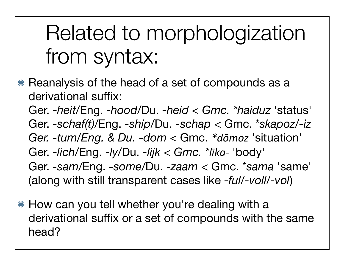#### Related to morphologization from syntax:

- **EXE** Reanalysis of the head of a set of compounds as a derivational suffix: Ger. *-heit*/Eng. *-hood*/Du. *-heid < Gmc. \*haiduz* 'status' Ger. *-schaf(t)*/Eng. *-ship*/Du. *-schap <* Gmc. \**skapoz*/*-iz Ger. -tum/Eng. & Du. -dom* < Gmc. *\*dōmoz* 'situation' Ger. *-lich*/Eng. *-ly*/Du. *-lijk < Gmc. \*līka*- 'body' Ger. *-sam*/Eng. *-some*/Du. *-zaam* < Gmc. \**sama* 'same' (along with still transparent cases like *-ful*/*-voll*/*-vol*)
- How can you tell whether you're dealing with a derivational suffix or a set of compounds with the same head?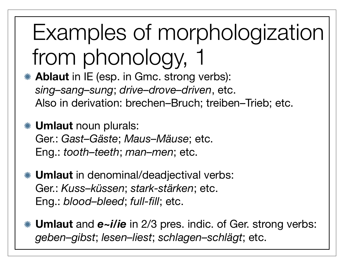# Examples of morphologization from phonology,

- **Ablaut** in IE (esp. in Gmc. strong verbs): *sing–sang–sung*; *drive–drove–driven*, etc. Also in derivation: brechen–Bruch; treiben–Trieb; etc.
- **Umlaut** noun plurals: Ger.: *Gast–Gäste*; *Maus–Mäuse*; etc. Eng.: *tooth–teeth*; *man–men*; etc.
- **Umlaut** in denominal/deadjectival verbs: Ger.: *Kuss–küssen*; *stark-stärken*; etc. Eng.: *blood–bleed*; *full-fill*; etc.
- **Umlaut** and *e~i/ie* in 2/3 pres. indic. of Ger. strong verbs: *geben–gibst*; *lesen–liest*; *schlagen–schlägt*; etc.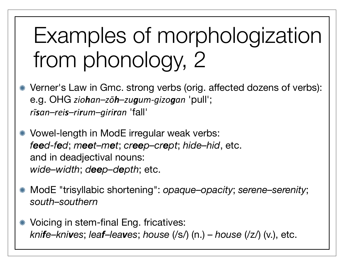### Examples of morphologization from phonology, 2

- Verner's Law in Gmc. strong verbs (orig. affected dozens of verbs): e.g. OHG *ziohan–zōh–zugum-gizogan* 'pull'; *rīsan–reis–rirum–giriran* 'fall'
- Vowel-length in ModE irregular weak verbs: *feed-fed*; *meet–met*; *creep–crept*; *hide–hid*, etc. and in deadjectival nouns: *wide–width*; *deep–depth*; etc.
- ModE "trisyllabic shortening": *opaque–opacity*; *serene–serenity*; *south–southern*
- Voicing in stem-final Eng. fricatives: *knife*–*knives*; *leaf*–*leaves*; *house* (/s/) (n.) – *house* (/z/) (v.), etc.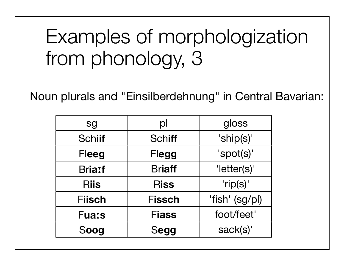#### Examples of morphologization from phonology, 3

Noun plurals and "Einsilberdehnung" in Central Bavarian:

| sg            | $\mathsf{p}$  | gloss          |
|---------------|---------------|----------------|
| <b>Schiif</b> | <b>Schiff</b> | 'ship(s)'      |
| Fleeg         | Flegg         | 'spot(s)'      |
| <b>Briatf</b> | <b>Briaff</b> | 'letter(s)'    |
| <b>Riis</b>   | <b>Riss</b>   | 'rip(s)'       |
| <b>Fiisch</b> | <b>Fissch</b> | 'fish' (sg/pl) |
| <b>Fuass</b>  | <b>Fiass</b>  | foot/feet'     |
| Soog          | Segg          | sack(s)'       |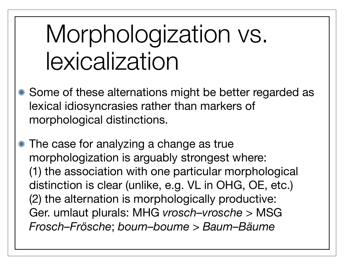# Morphologization vs. lexicalization

- Some of these alternations might be better regarded as lexical idiosyncrasies rather than markers of morphological distinctions.
- The case for analyzing a change as true morphologization is arguably strongest where: (1) the association with one particular morphological distinction is clear (unlike, e.g. VL in OHG, OE, etc.) (2) the alternation is morphologically productive: Ger. umlaut plurals: MHG *vrosch–vrosche* > MSG *Frosch–Frösche*; *boum–boume* > *Baum–Bäume*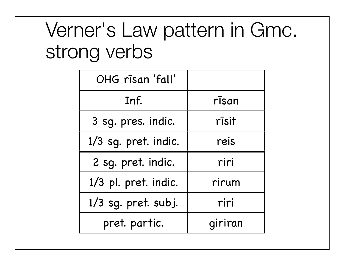#### Verner's Law pattern in Gmc. strong verbs

| OHG rīsan 'fall'     |       |
|----------------------|-------|
| Inf.                 | rīsan |
| 3 sg. pres. indic.   | rīsit |
| 1/3 sg. pret. indic. | reis  |
|                      |       |
| 2 sq. pret. indic.   | riri  |
| 1/3 pl. pret. indic. | rirum |
| 1/3 sg. pret. subj.  | riri  |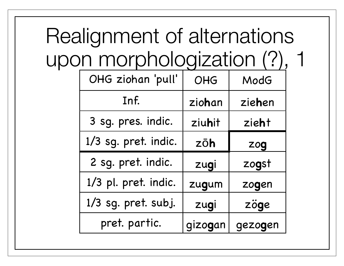#### Realignment of alternations upon morphologization (?), 1

| OHG ziohan 'pull'    | OHG    | ModG   |
|----------------------|--------|--------|
| Inf.                 | ziohan | ziehen |
| 3 sg. pres. indic.   | ziuhit | zieht  |
| 1/3 sg. pret. indic. | zōh    | zog    |
|                      |        |        |
| 2 sg. pret. indic.   | zugi   | zogst  |
| 1/3 pl. pret. indic. | zugum  | zogen  |
| 1/3 sg. pret. subj.  | zugi   | zöge   |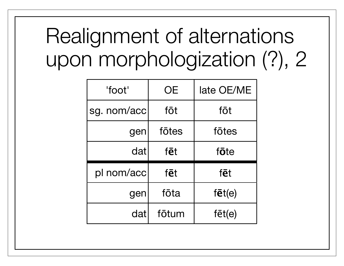#### Realignment of alternations upon morphologization (?), 2

| "foot"      | <b>OE</b> | late OE/ME     |
|-------------|-----------|----------------|
| sg. nom/acc | fōt       | fōt            |
| gen         | fōtes     | fōtes          |
| dat         | fēt       | fōte           |
| pl nom/acc  | fēt       | fēt            |
| gen         | fōta      | $f\bar{e}t(e)$ |
| dat         | fōtum     | $f\bar{e}t(e)$ |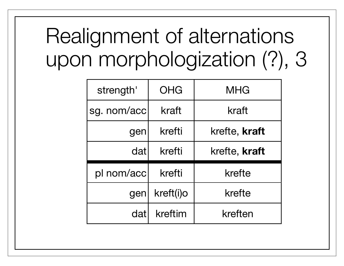#### Realignment of alternations upon morphologization (?), 3

| strength'   | OHG       | MHG                  |
|-------------|-----------|----------------------|
| sg. nom/acc | kraft     | kraft                |
| gen         | krefti    | krefte, <b>kraft</b> |
| dat         | krefti    | krefte, kraft        |
| pl nom/acc  | krefti    | krefte               |
| gen         | kreft(i)o | krefte               |
| datl        | kreftim   | kreften              |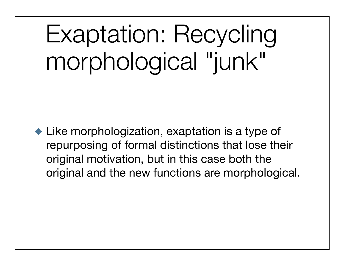# Exaptation: Recycling morphological "junk"

Like morphologization, exaptation is a type of repurposing of formal distinctions that lose their original motivation, but in this case both the original and the new functions are morphological.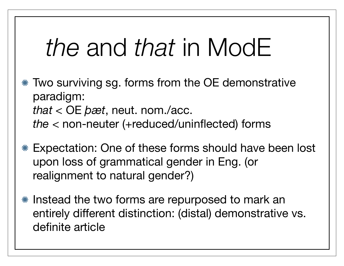# *the* and *that* in ModE

- Two surviving sg. forms from the OE demonstrative paradigm: *that* < OE *þæt*, neut. nom./acc. *the* < non-neuter (+reduced/uninflected) forms
- Expectation: One of these forms should have been lost upon loss of grammatical gender in Eng. (or realignment to natural gender?)
- \* Instead the two forms are repurposed to mark an entirely different distinction: (distal) demonstrative vs. definite article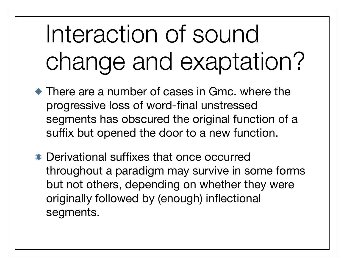# Interaction of sound change and exaptation?

- There are a number of cases in Gmc. where the progressive loss of word-final unstressed segments has obscured the original function of a suffix but opened the door to a new function.
- Derivational suffixes that once occurred throughout a paradigm may survive in some forms but not others, depending on whether they were originally followed by (enough) inflectional segments.